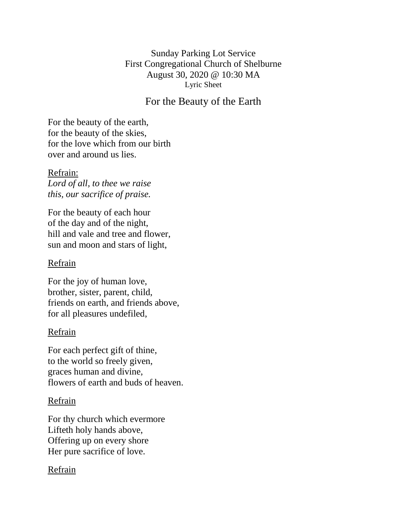Sunday Parking Lot Service First Congregational Church of Shelburne August 30, 2020 @ 10:30 MA Lyric Sheet

# For the Beauty of the Earth

For the beauty of the earth, for the beauty of the skies, for the love which from our birth over and around us lies.

Refrain: *Lord of all, to thee we raise this, our sacrifice of praise.*

For the beauty of each hour of the day and of the night, hill and vale and tree and flower, sun and moon and stars of light,

#### Refrain

For the joy of human love, brother, sister, parent, child, friends on earth, and friends above, for all pleasures undefiled,

## Refrain

For each perfect gift of thine, to the world so freely given, graces human and divine, flowers of earth and buds of heaven.

## Refrain

For thy church which evermore Lifteth holy hands above, Offering up on every shore Her pure sacrifice of love.

## Refrain